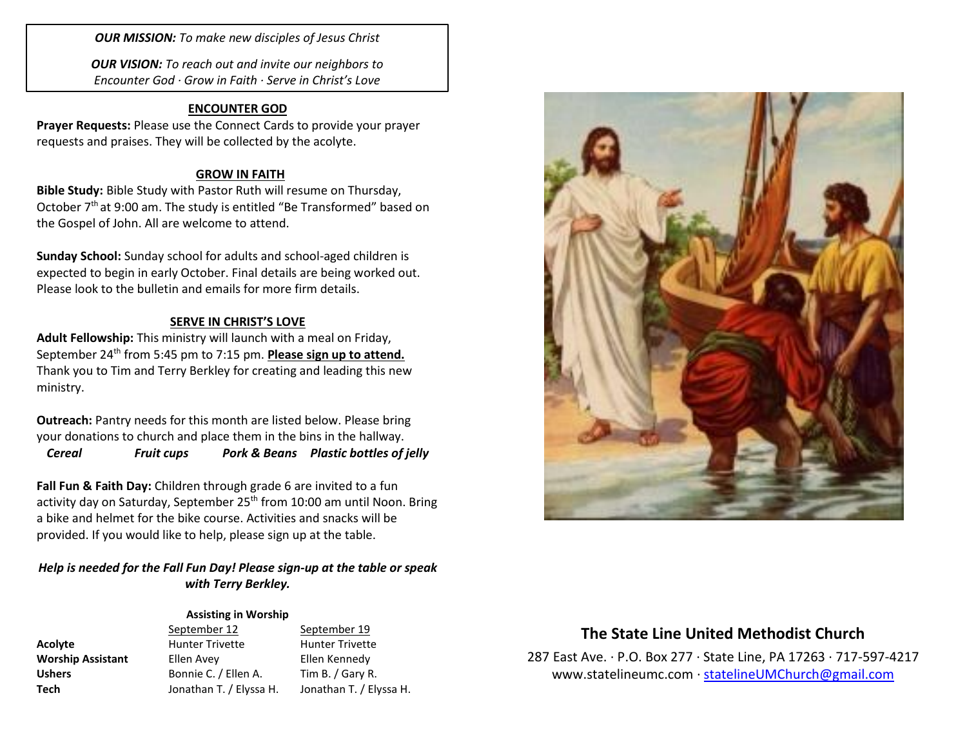*OUR MISSION: To make new disciples of Jesus Christ*

*OUR VISION: To reach out and invite our neighbors to Encounter God · Grow in Faith · Serve in Christ's Love*

## **ENCOUNTER GOD**

**Prayer Requests:** Please use the Connect Cards to provide your prayer requests and praises. They will be collected by the acolyte.

### **GROW IN FAITH**

**Bible Study:** Bible Study with Pastor Ruth will resume on Thursday, October 7<sup>th</sup> at 9:00 am. The study is entitled "Be Transformed" based on the Gospel of John. All are welcome to attend.

**Sunday School:** Sunday school for adults and school-aged children is expected to begin in early October. Final details are being worked out. Please look to the bulletin and emails for more firm details.

### **SERVE IN CHRIST'S LOVE**

**Adult Fellowship:** This ministry will launch with a meal on Friday, September 24<sup>th</sup> from 5:45 pm to 7:15 pm. **Please sign up to attend.** Thank you to Tim and Terry Berkley for creating and leading this new ministry.

**Outreach:** Pantry needs for this month are listed below. Please bring your donations to church and place them in the bins in the hallway.

*Cereal Fruit cups Pork & Beans Plastic bottles of jelly*

**Fall Fun & Faith Day:** Children through grade 6 are invited to a fun activity day on Saturday, September 25<sup>th</sup> from 10:00 am until Noon. Bring a bike and helmet for the bike course. Activities and snacks will be provided. If you would like to help, please sign up at the table.

## *Help is needed for the Fall Fun Day! Please sign-up at the table or speak with Terry Berkley.*

## **Assisting in Worship**

| <b>Acolyte</b>           |
|--------------------------|
| <b>Worship Assistant</b> |
| <b>Ushers</b>            |
| Tech                     |

September 12 September 19 **Acolyte** Hunter Trivette Hunter Trivette **Ellen Avey Corresponding Ellen Kennedy Ushers** Bonnie C. / Ellen A. Tim B. / Gary R.

**Tech** Jonathan T. / Elyssa H. Jonathan T. / Elyssa H.



# **The State Line United Methodist Church**

287 East Ave. · P.O. Box 277 · State Line, PA 17263 · 717-597-4217 [www.statelineumc.com](http://www.statelineumc.com/) · [statelineUMChurch@gmail.com](mailto:statelineUMChurch@gmail.com)